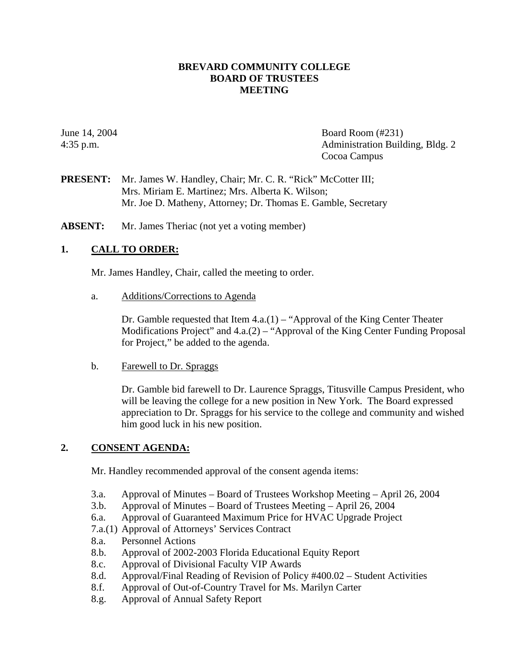### **BREVARD COMMUNITY COLLEGE BOARD OF TRUSTEES MEETING**

June 14, 2004 Board Room (#231) 4:35 p.m. Administration Building, Bldg. 2 Cocoa Campus

**PRESENT:** Mr. James W. Handley, Chair; Mr. C. R. "Rick" McCotter III; Mrs. Miriam E. Martinez; Mrs. Alberta K. Wilson; Mr. Joe D. Matheny, Attorney; Dr. Thomas E. Gamble, Secretary

**ABSENT:** Mr. James Theriac (not yet a voting member)

### **1. CALL TO ORDER:**

Mr. James Handley, Chair, called the meeting to order.

a. Additions/Corrections to Agenda

Dr. Gamble requested that Item  $4.a.(1) - "Approxal of the King Center Theater$ Modifications Project" and 4.a.(2) – "Approval of the King Center Funding Proposal for Project," be added to the agenda.

b. Farewell to Dr. Spraggs

Dr. Gamble bid farewell to Dr. Laurence Spraggs, Titusville Campus President, who will be leaving the college for a new position in New York. The Board expressed appreciation to Dr. Spraggs for his service to the college and community and wished him good luck in his new position.

#### **2. CONSENT AGENDA:**

Mr. Handley recommended approval of the consent agenda items:

- 3.a. Approval of Minutes Board of Trustees Workshop Meeting April 26, 2004
- 3.b. Approval of Minutes Board of Trustees Meeting April 26, 2004
- 6.a. Approval of Guaranteed Maximum Price for HVAC Upgrade Project
- 7.a.(1) Approval of Attorneys' Services Contract
- 8.a. Personnel Actions
- 8.b. Approval of 2002-2003 Florida Educational Equity Report
- 8.c. Approval of Divisional Faculty VIP Awards
- 8.d. Approval/Final Reading of Revision of Policy #400.02 Student Activities
- 8.f. Approval of Out-of-Country Travel for Ms. Marilyn Carter
- 8.g. Approval of Annual Safety Report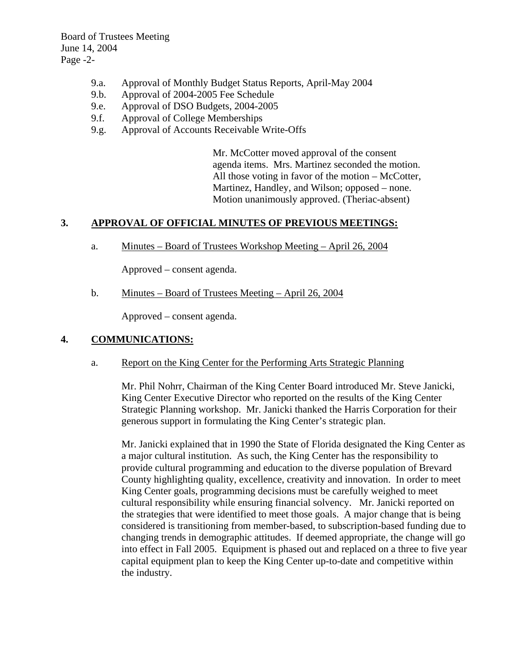Board of Trustees Meeting June 14, 2004 Page -2-

- 9.a. Approval of Monthly Budget Status Reports, April-May 2004
- 9.b. Approval of 2004-2005 Fee Schedule
- 9.e. Approval of DSO Budgets, 2004-2005
- 9.f. Approval of College Memberships
- 9.g. Approval of Accounts Receivable Write-Offs

Mr. McCotter moved approval of the consent agenda items. Mrs. Martinez seconded the motion. All those voting in favor of the motion – McCotter, Martinez, Handley, and Wilson; opposed – none. Motion unanimously approved. (Theriac-absent)

## **3. APPROVAL OF OFFICIAL MINUTES OF PREVIOUS MEETINGS:**

a. Minutes – Board of Trustees Workshop Meeting – April 26, 2004

Approved – consent agenda.

b. Minutes – Board of Trustees Meeting – April 26, 2004

Approved – consent agenda.

### **4. COMMUNICATIONS:**

a. Report on the King Center for the Performing Arts Strategic Planning

Mr. Phil Nohrr, Chairman of the King Center Board introduced Mr. Steve Janicki, King Center Executive Director who reported on the results of the King Center Strategic Planning workshop. Mr. Janicki thanked the Harris Corporation for their generous support in formulating the King Center's strategic plan.

Mr. Janicki explained that in 1990 the State of Florida designated the King Center as a major cultural institution. As such, the King Center has the responsibility to provide cultural programming and education to the diverse population of Brevard County highlighting quality, excellence, creativity and innovation. In order to meet King Center goals, programming decisions must be carefully weighed to meet cultural responsibility while ensuring financial solvency. Mr. Janicki reported on the strategies that were identified to meet those goals. A major change that is being considered is transitioning from member-based, to subscription-based funding due to changing trends in demographic attitudes. If deemed appropriate, the change will go into effect in Fall 2005. Equipment is phased out and replaced on a three to five year capital equipment plan to keep the King Center up-to-date and competitive within the industry.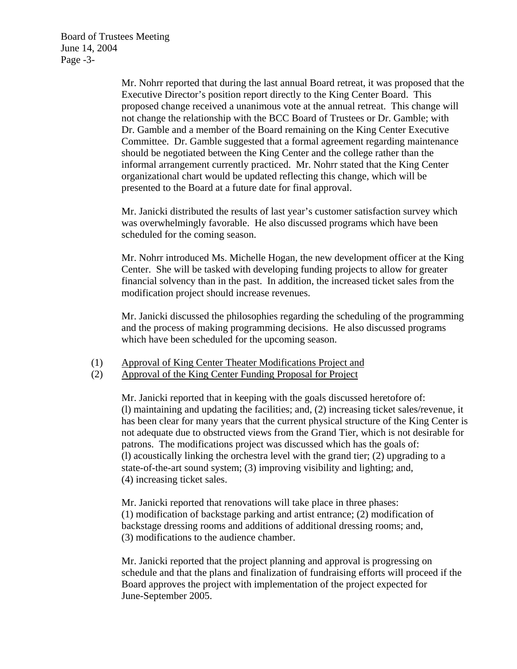Board of Trustees Meeting June 14, 2004 Page -3-

> Mr. Nohrr reported that during the last annual Board retreat, it was proposed that the Executive Director's position report directly to the King Center Board. This proposed change received a unanimous vote at the annual retreat. This change will not change the relationship with the BCC Board of Trustees or Dr. Gamble; with Dr. Gamble and a member of the Board remaining on the King Center Executive Committee. Dr. Gamble suggested that a formal agreement regarding maintenance should be negotiated between the King Center and the college rather than the informal arrangement currently practiced. Mr. Nohrr stated that the King Center organizational chart would be updated reflecting this change, which will be presented to the Board at a future date for final approval.

Mr. Janicki distributed the results of last year's customer satisfaction survey which was overwhelmingly favorable. He also discussed programs which have been scheduled for the coming season.

Mr. Nohrr introduced Ms. Michelle Hogan, the new development officer at the King Center. She will be tasked with developing funding projects to allow for greater financial solvency than in the past. In addition, the increased ticket sales from the modification project should increase revenues.

Mr. Janicki discussed the philosophies regarding the scheduling of the programming and the process of making programming decisions. He also discussed programs which have been scheduled for the upcoming season.

## (1) Approval of King Center Theater Modifications Project and

## (2) Approval of the King Center Funding Proposal for Project

Mr. Janicki reported that in keeping with the goals discussed heretofore of: (l) maintaining and updating the facilities; and, (2) increasing ticket sales/revenue, it has been clear for many years that the current physical structure of the King Center is not adequate due to obstructed views from the Grand Tier, which is not desirable for patrons. The modifications project was discussed which has the goals of: (l) acoustically linking the orchestra level with the grand tier; (2) upgrading to a state-of-the-art sound system; (3) improving visibility and lighting; and, (4) increasing ticket sales.

Mr. Janicki reported that renovations will take place in three phases: (1) modification of backstage parking and artist entrance; (2) modification of backstage dressing rooms and additions of additional dressing rooms; and, (3) modifications to the audience chamber.

Mr. Janicki reported that the project planning and approval is progressing on schedule and that the plans and finalization of fundraising efforts will proceed if the Board approves the project with implementation of the project expected for June-September 2005.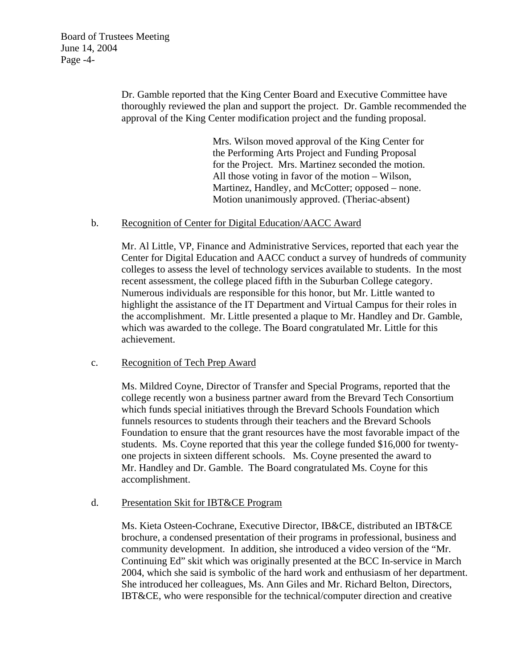Dr. Gamble reported that the King Center Board and Executive Committee have thoroughly reviewed the plan and support the project. Dr. Gamble recommended the approval of the King Center modification project and the funding proposal.

> Mrs. Wilson moved approval of the King Center for the Performing Arts Project and Funding Proposal for the Project. Mrs. Martinez seconded the motion. All those voting in favor of the motion – Wilson, Martinez, Handley, and McCotter; opposed – none. Motion unanimously approved. (Theriac-absent)

### b. Recognition of Center for Digital Education/AACC Award

Mr. Al Little, VP, Finance and Administrative Services, reported that each year the Center for Digital Education and AACC conduct a survey of hundreds of community colleges to assess the level of technology services available to students. In the most recent assessment, the college placed fifth in the Suburban College category. Numerous individuals are responsible for this honor, but Mr. Little wanted to highlight the assistance of the IT Department and Virtual Campus for their roles in the accomplishment. Mr. Little presented a plaque to Mr. Handley and Dr. Gamble, which was awarded to the college. The Board congratulated Mr. Little for this achievement.

#### c. Recognition of Tech Prep Award

Ms. Mildred Coyne, Director of Transfer and Special Programs, reported that the college recently won a business partner award from the Brevard Tech Consortium which funds special initiatives through the Brevard Schools Foundation which funnels resources to students through their teachers and the Brevard Schools Foundation to ensure that the grant resources have the most favorable impact of the students. Ms. Coyne reported that this year the college funded \$16,000 for twentyone projects in sixteen different schools. Ms. Coyne presented the award to Mr. Handley and Dr. Gamble. The Board congratulated Ms. Coyne for this accomplishment.

#### d. Presentation Skit for IBT&CE Program

Ms. Kieta Osteen-Cochrane, Executive Director, IB&CE, distributed an IBT&CE brochure, a condensed presentation of their programs in professional, business and community development. In addition, she introduced a video version of the "Mr. Continuing Ed" skit which was originally presented at the BCC In-service in March 2004, which she said is symbolic of the hard work and enthusiasm of her department. She introduced her colleagues, Ms. Ann Giles and Mr. Richard Belton, Directors, IBT&CE, who were responsible for the technical/computer direction and creative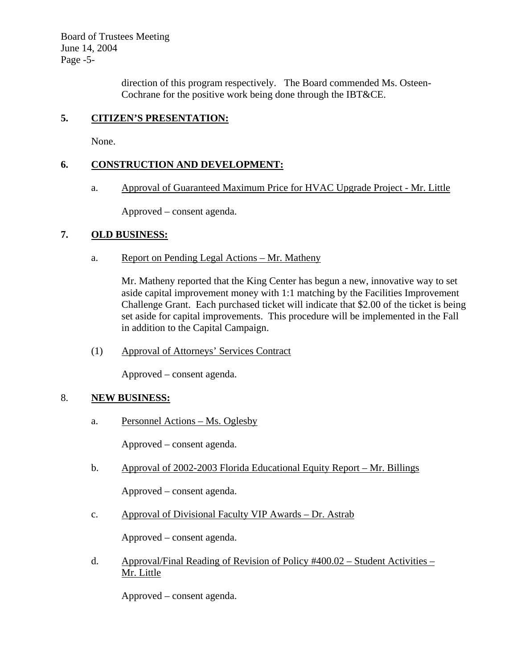Board of Trustees Meeting June 14, 2004 Page -5-

> direction of this program respectively. The Board commended Ms. Osteen-Cochrane for the positive work being done through the IBT&CE.

# **5. CITIZEN'S PRESENTATION:**

None.

## **6. CONSTRUCTION AND DEVELOPMENT:**

a. Approval of Guaranteed Maximum Price for HVAC Upgrade Project - Mr. Little

Approved – consent agenda.

### **7. OLD BUSINESS:**

a. Report on Pending Legal Actions – Mr. Matheny

Mr. Matheny reported that the King Center has begun a new, innovative way to set aside capital improvement money with 1:1 matching by the Facilities Improvement Challenge Grant. Each purchased ticket will indicate that \$2.00 of the ticket is being set aside for capital improvements. This procedure will be implemented in the Fall in addition to the Capital Campaign.

(1) Approval of Attorneys' Services Contract

Approved – consent agenda.

#### 8. **NEW BUSINESS:**

a. Personnel Actions – Ms. Oglesby

Approved – consent agenda.

b. Approval of 2002-2003 Florida Educational Equity Report – Mr. Billings

Approved – consent agenda.

c. Approval of Divisional Faculty VIP Awards – Dr. Astrab

Approved – consent agenda.

d. Approval/Final Reading of Revision of Policy #400.02 – Student Activities – Mr. Little

Approved – consent agenda.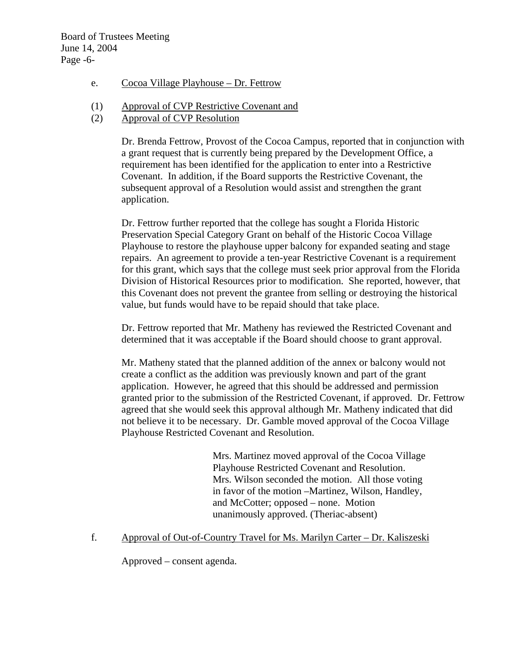- e. Cocoa Village Playhouse Dr. Fettrow
- (1) Approval of CVP Restrictive Covenant and
- (2) Approval of CVP Resolution

Dr. Brenda Fettrow, Provost of the Cocoa Campus, reported that in conjunction with a grant request that is currently being prepared by the Development Office, a requirement has been identified for the application to enter into a Restrictive Covenant. In addition, if the Board supports the Restrictive Covenant, the subsequent approval of a Resolution would assist and strengthen the grant application.

Dr. Fettrow further reported that the college has sought a Florida Historic Preservation Special Category Grant on behalf of the Historic Cocoa Village Playhouse to restore the playhouse upper balcony for expanded seating and stage repairs. An agreement to provide a ten-year Restrictive Covenant is a requirement for this grant, which says that the college must seek prior approval from the Florida Division of Historical Resources prior to modification. She reported, however, that this Covenant does not prevent the grantee from selling or destroying the historical value, but funds would have to be repaid should that take place.

Dr. Fettrow reported that Mr. Matheny has reviewed the Restricted Covenant and determined that it was acceptable if the Board should choose to grant approval.

Mr. Matheny stated that the planned addition of the annex or balcony would not create a conflict as the addition was previously known and part of the grant application. However, he agreed that this should be addressed and permission granted prior to the submission of the Restricted Covenant, if approved. Dr. Fettrow agreed that she would seek this approval although Mr. Matheny indicated that did not believe it to be necessary. Dr. Gamble moved approval of the Cocoa Village Playhouse Restricted Covenant and Resolution.

> Mrs. Martinez moved approval of the Cocoa Village Playhouse Restricted Covenant and Resolution. Mrs. Wilson seconded the motion. All those voting in favor of the motion –Martinez, Wilson, Handley, and McCotter; opposed – none. Motion unanimously approved. (Theriac-absent)

f. Approval of Out-of-Country Travel for Ms. Marilyn Carter – Dr. Kaliszeski

Approved – consent agenda.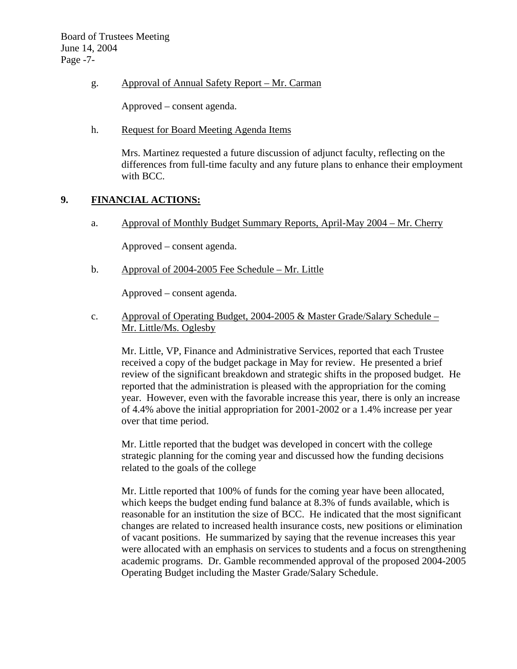Board of Trustees Meeting June 14, 2004 Page -7-

g. Approval of Annual Safety Report – Mr. Carman

Approved – consent agenda.

h. Request for Board Meeting Agenda Items

Mrs. Martinez requested a future discussion of adjunct faculty, reflecting on the differences from full-time faculty and any future plans to enhance their employment with BCC.

#### **9. FINANCIAL ACTIONS:**

a. Approval of Monthly Budget Summary Reports, April-May 2004 – Mr. Cherry

Approved – consent agenda.

b. Approval of 2004-2005 Fee Schedule – Mr. Little

Approved – consent agenda.

c. Approval of Operating Budget, 2004-2005 & Master Grade/Salary Schedule – Mr. Little/Ms. Oglesby

 Mr. Little, VP, Finance and Administrative Services, reported that each Trustee received a copy of the budget package in May for review. He presented a brief review of the significant breakdown and strategic shifts in the proposed budget. He reported that the administration is pleased with the appropriation for the coming year. However, even with the favorable increase this year, there is only an increase of 4.4% above the initial appropriation for 2001-2002 or a 1.4% increase per year over that time period.

Mr. Little reported that the budget was developed in concert with the college strategic planning for the coming year and discussed how the funding decisions related to the goals of the college

Mr. Little reported that 100% of funds for the coming year have been allocated, which keeps the budget ending fund balance at 8.3% of funds available, which is reasonable for an institution the size of BCC. He indicated that the most significant changes are related to increased health insurance costs, new positions or elimination of vacant positions. He summarized by saying that the revenue increases this year were allocated with an emphasis on services to students and a focus on strengthening academic programs. Dr. Gamble recommended approval of the proposed 2004-2005 Operating Budget including the Master Grade/Salary Schedule.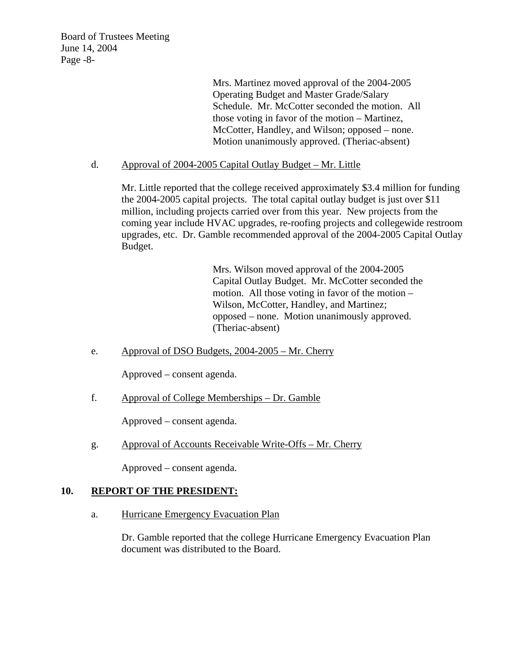Board of Trustees Meeting June 14, 2004 Page -8-

> Mrs. Martinez moved approval of the 2004-2005 Operating Budget and Master Grade/Salary Schedule. Mr. McCotter seconded the motion. All those voting in favor of the motion – Martinez, McCotter, Handley, and Wilson; opposed – none. Motion unanimously approved. (Theriac-absent)

#### d. Approval of 2004-2005 Capital Outlay Budget – Mr. Little

Mr. Little reported that the college received approximately \$3.4 million for funding the 2004-2005 capital projects. The total capital outlay budget is just over \$11 million, including projects carried over from this year. New projects from the coming year include HVAC upgrades, re-roofing projects and collegewide restroom upgrades, etc. Dr. Gamble recommended approval of the 2004-2005 Capital Outlay Budget.

> Mrs. Wilson moved approval of the 2004-2005 Capital Outlay Budget. Mr. McCotter seconded the motion. All those voting in favor of the motion – Wilson, McCotter, Handley, and Martinez; opposed – none. Motion unanimously approved. (Theriac-absent)

e. Approval of DSO Budgets, 2004-2005 – Mr. Cherry

Approved – consent agenda.

f. Approval of College Memberships – Dr. Gamble

Approved – consent agenda.

g. Approval of Accounts Receivable Write-Offs – Mr. Cherry

Approved – consent agenda.

#### **10. REPORT OF THE PRESIDENT:**

a. Hurricane Emergency Evacuation Plan

Dr. Gamble reported that the college Hurricane Emergency Evacuation Plan document was distributed to the Board.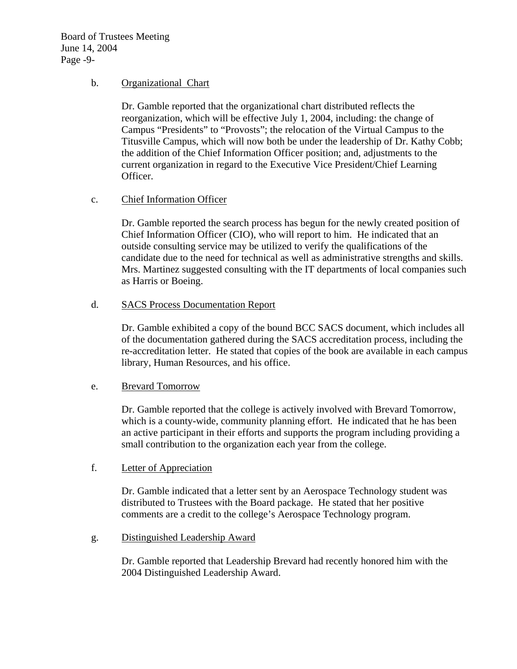Board of Trustees Meeting June 14, 2004 Page -9-

### b. Organizational Chart

Dr. Gamble reported that the organizational chart distributed reflects the reorganization, which will be effective July 1, 2004, including: the change of Campus "Presidents" to "Provosts"; the relocation of the Virtual Campus to the Titusville Campus, which will now both be under the leadership of Dr. Kathy Cobb; the addition of the Chief Information Officer position; and, adjustments to the current organization in regard to the Executive Vice President/Chief Learning Officer.

## c. Chief Information Officer

Dr. Gamble reported the search process has begun for the newly created position of Chief Information Officer (CIO), who will report to him. He indicated that an outside consulting service may be utilized to verify the qualifications of the candidate due to the need for technical as well as administrative strengths and skills. Mrs. Martinez suggested consulting with the IT departments of local companies such as Harris or Boeing.

## d. SACS Process Documentation Report

Dr. Gamble exhibited a copy of the bound BCC SACS document, which includes all of the documentation gathered during the SACS accreditation process, including the re-accreditation letter. He stated that copies of the book are available in each campus library, Human Resources, and his office.

## e. Brevard Tomorrow

Dr. Gamble reported that the college is actively involved with Brevard Tomorrow, which is a county-wide, community planning effort. He indicated that he has been an active participant in their efforts and supports the program including providing a small contribution to the organization each year from the college.

#### f. Letter of Appreciation

Dr. Gamble indicated that a letter sent by an Aerospace Technology student was distributed to Trustees with the Board package. He stated that her positive comments are a credit to the college's Aerospace Technology program.

#### g. Distinguished Leadership Award

Dr. Gamble reported that Leadership Brevard had recently honored him with the 2004 Distinguished Leadership Award.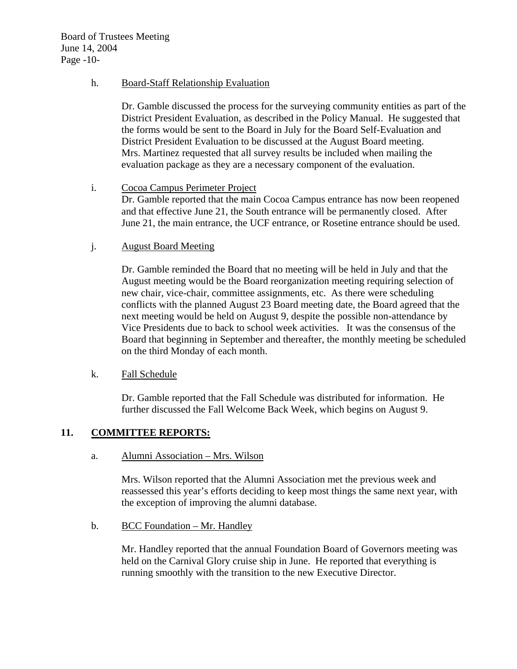Board of Trustees Meeting June 14, 2004 Page -10-

#### h. Board-Staff Relationship Evaluation

Dr. Gamble discussed the process for the surveying community entities as part of the District President Evaluation, as described in the Policy Manual. He suggested that the forms would be sent to the Board in July for the Board Self-Evaluation and District President Evaluation to be discussed at the August Board meeting. Mrs. Martinez requested that all survey results be included when mailing the evaluation package as they are a necessary component of the evaluation.

#### i. Cocoa Campus Perimeter Project

Dr. Gamble reported that the main Cocoa Campus entrance has now been reopened and that effective June 21, the South entrance will be permanently closed. After June 21, the main entrance, the UCF entrance, or Rosetine entrance should be used.

#### j. August Board Meeting

Dr. Gamble reminded the Board that no meeting will be held in July and that the August meeting would be the Board reorganization meeting requiring selection of new chair, vice-chair, committee assignments, etc. As there were scheduling conflicts with the planned August 23 Board meeting date, the Board agreed that the next meeting would be held on August 9, despite the possible non-attendance by Vice Presidents due to back to school week activities. It was the consensus of the Board that beginning in September and thereafter, the monthly meeting be scheduled on the third Monday of each month.

#### k. Fall Schedule

Dr. Gamble reported that the Fall Schedule was distributed for information. He further discussed the Fall Welcome Back Week, which begins on August 9.

#### **11. COMMITTEE REPORTS:**

a. Alumni Association – Mrs. Wilson

Mrs. Wilson reported that the Alumni Association met the previous week and reassessed this year's efforts deciding to keep most things the same next year, with the exception of improving the alumni database.

b. BCC Foundation – Mr. Handley

Mr. Handley reported that the annual Foundation Board of Governors meeting was held on the Carnival Glory cruise ship in June. He reported that everything is running smoothly with the transition to the new Executive Director.